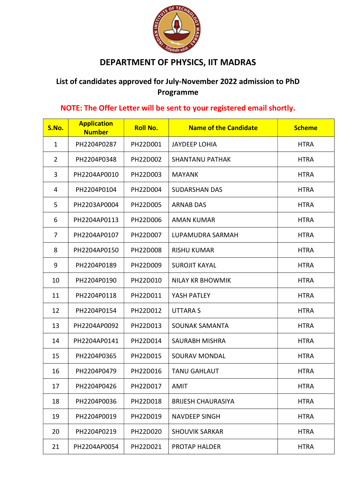

## DEPARTMENT OF PHYSICS, IIT MADRAS

## List of candidates approved for July-November 2022 admission to PhD Programme

## NOTE: The Offer Letter will be sent to your registered email shortly.

| S.No.          | <b>Application</b><br><b>Number</b> | <b>Roll No.</b> | <b>Name of the Candidate</b> | <b>Scheme</b> |
|----------------|-------------------------------------|-----------------|------------------------------|---------------|
| $\mathbf 1$    | PH2204P0287                         | PH22D001        | <b>JAYDEEP LOHIA</b>         | <b>HTRA</b>   |
| $\overline{2}$ | PH2204P0348                         | PH22D002        | <b>SHANTANU PATHAK</b>       | <b>HTRA</b>   |
| 3              | PH2204AP0010                        | PH22D003        | <b>MAYANK</b>                | <b>HTRA</b>   |
| 4              | PH2204P0104                         | PH22D004        | <b>SUDARSHAN DAS</b>         | <b>HTRA</b>   |
| 5              | PH2203AP0004                        | PH22D005        | <b>ARNAB DAS</b>             | <b>HTRA</b>   |
| 6              | PH2204AP0113                        | PH22D006        | <b>AMAN KUMAR</b>            | <b>HTRA</b>   |
| $\overline{7}$ | PH2204AP0107                        | PH22D007        | LUPAMUDRA SARMAH             | <b>HTRA</b>   |
| 8              | PH2204AP0150                        | PH22D008        | <b>RISHU KUMAR</b>           | <b>HTRA</b>   |
| 9              | PH2204P0189                         | PH22D009        | <b>SUROJIT KAYAL</b>         | <b>HTRA</b>   |
| 10             | PH2204P0190                         | PH22D010        | <b>NILAY KR BHOWMIK</b>      | <b>HTRA</b>   |
| 11             | PH2204P0118                         | PH22D011        | YASH PATLEY                  | <b>HTRA</b>   |
| 12             | PH2204P0154                         | PH22D012        | <b>UTTARAS</b>               | <b>HTRA</b>   |
| 13             | PH2204AP0092                        | PH22D013        | <b>SOUNAK SAMANTA</b>        | <b>HTRA</b>   |
| 14             | PH2204AP0141                        | PH22D014        | <b>SAURABH MISHRA</b>        | <b>HTRA</b>   |
| 15             | PH2204P0365                         | PH22D015        | SOURAV MONDAL                | <b>HTRA</b>   |
| 16             | PH2204P0479                         | PH22D016        | <b>TANU GAHLAUT</b>          | <b>HTRA</b>   |
| 17             | PH2204P0426                         | PH22D017        | AMIT                         | <b>HTRA</b>   |
| 18             | PH2204P0036                         | PH22D018        | <b>BRIJESH CHAURASIYA</b>    | <b>HTRA</b>   |
| 19             | PH2204P0019                         | PH22D019        | <b>NAVDEEP SINGH</b>         | <b>HTRA</b>   |
| 20             | PH2204P0219                         | PH22D020        | <b>SHOUVIK SARKAR</b>        | <b>HTRA</b>   |
| 21             | PH2204AP0054                        | PH22D021        | <b>PROTAP HALDER</b>         | <b>HTRA</b>   |